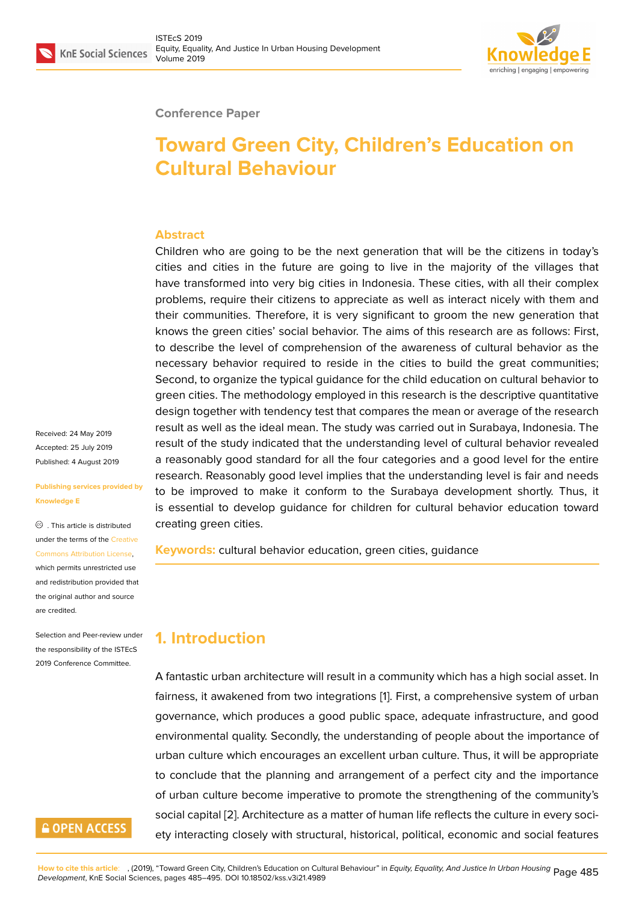

#### **Conference Paper**

# **Toward Green City, Children's Education on Cultural Behaviour**

#### **Abstract**

Children who are going to be the next generation that will be the citizens in today's cities and cities in the future are going to live in the majority of the villages that have transformed into very big cities in Indonesia. These cities, with all their complex problems, require their citizens to appreciate as well as interact nicely with them and their communities. Therefore, it is very significant to groom the new generation that knows the green cities' social behavior. The aims of this research are as follows: First, to describe the level of comprehension of the awareness of cultural behavior as the necessary behavior required to reside in the cities to build the great communities; Second, to organize the typical guidance for the child education on cultural behavior to green cities. The methodology employed in this research is the descriptive quantitative design together with tendency test that compares the mean or average of the research result as well as the ideal mean. The study was carried out in Surabaya, Indonesia. The result of the study indicated that the understanding level of cultural behavior revealed a reasonably good standard for all the four categories and a good level for the entire research. Reasonably good level implies that the understanding level is fair and needs to be improved to make it conform to the Surabaya development shortly. Thus, it is essential to develop guidance for children for cultural behavior education toward creating green cities.

**Keywords:** cultural behavior education, green cities, guidance

# **1. Introduction**

A fantastic urban architecture will result in a community which has a high social asset. In fairness, it awakened from two integrations [1]. First, a comprehensive system of urban governance, which produces a good public space, adequate infrastructure, and good environmental quality. Secondly, the understanding of people about the importance of urban culture which encourages an excellen[t](#page-9-0) urban culture. Thus, it will be appropriate to conclude that the planning and arrangement of a perfect city and the importance of urban culture become imperative to promote the strengthening of the community's social capital [2]. Architecture as a matter of human life reflects the culture in every society interacting closely with structural, historical, political, economic and social features

Received: 24 May 2019 Accepted: 25 July 2019 Published: 4 August 2019

**Publishing services provided by Knowledge E**

. This article is distributed under the terms of the Creative Commons Attribution License, which permits unrestricted use and redistribution provided that the original author and [source](https://creativecommons.org/licenses/by/4.0/) [are credited.](https://creativecommons.org/licenses/by/4.0/)

Selection and Peer-review under the responsibility of the ISTEcS 2019 Conference Committee.

# **GOPEN ACCESS**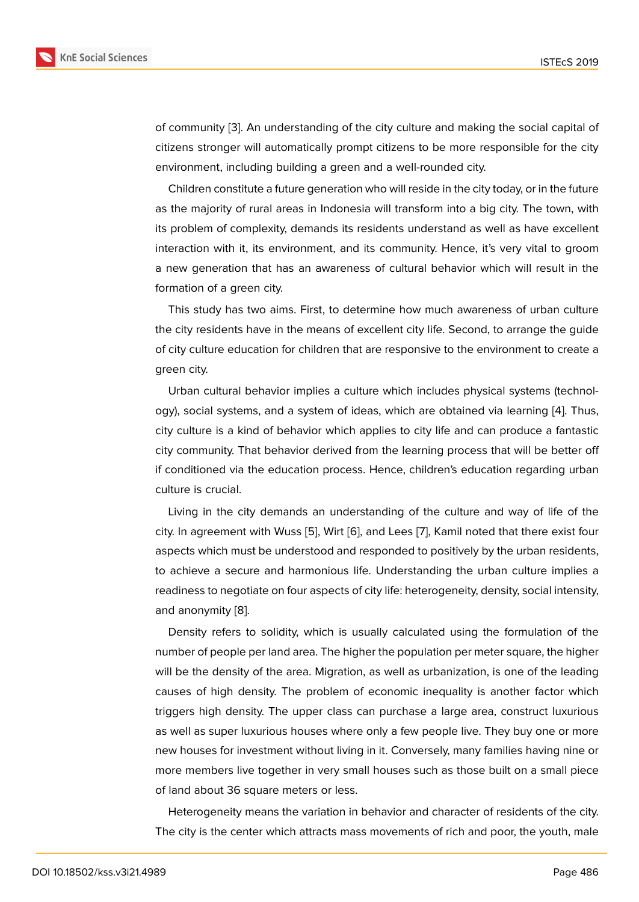of community [3]. An understanding of the city culture and making the social capital of citizens stronger will automatically prompt citizens to be more responsible for the city environment, including building a green and a well-rounded city.

Children co[nst](#page-9-2)itute a future generation who will reside in the city today, or in the future as the majority of rural areas in Indonesia will transform into a big city. The town, with its problem of complexity, demands its residents understand as well as have excellent interaction with it, its environment, and its community. Hence, it's very vital to groom a new generation that has an awareness of cultural behavior which will result in the formation of a green city.

This study has two aims. First, to determine how much awareness of urban culture the city residents have in the means of excellent city life. Second, to arrange the guide of city culture education for children that are responsive to the environment to create a green city.

Urban cultural behavior implies a culture which includes physical systems (technology), social systems, and a system of ideas, which are obtained via learning [4]. Thus, city culture is a kind of behavior which applies to city life and can produce a fantastic city community. That behavior derived from the learning process that will be better off if conditioned via the education process. Hence, children's education regardi[ng](#page-9-3) urban culture is crucial.

Living in the city demands an understanding of the culture and way of life of the city. In agreement with Wuss [5], Wirt [6], and Lees [7], Kamil noted that there exist four aspects which must be understood and responded to positively by the urban residents, to achieve a secure and harmonious life. Understanding the urban culture implies a readiness to negotiate on four [a](#page-9-4)spects [o](#page-9-5)f city life: he[te](#page-10-0)rogeneity, density, social intensity, and anonymity [8].

Density refers to solidity, which is usually calculated using the formulation of the number of people per land area. The higher the population per meter square, the higher will be the den[sity](#page-10-1) of the area. Migration, as well as urbanization, is one of the leading causes of high density. The problem of economic inequality is another factor which triggers high density. The upper class can purchase a large area, construct luxurious as well as super luxurious houses where only a few people live. They buy one or more new houses for investment without living in it. Conversely, many families having nine or more members live together in very small houses such as those built on a small piece of land about 36 square meters or less.

Heterogeneity means the variation in behavior and character of residents of the city. The city is the center which attracts mass movements of rich and poor, the youth, male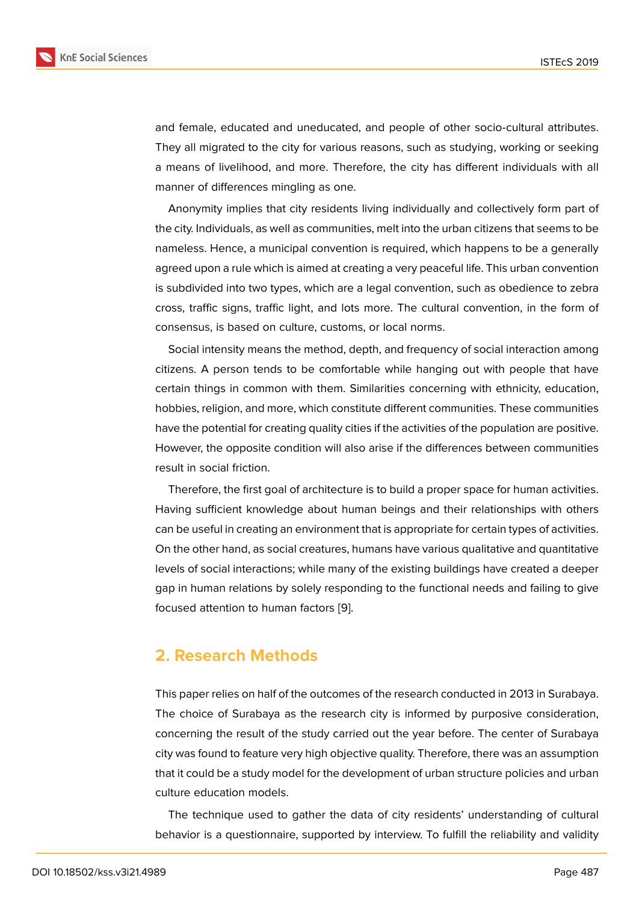and female, educated and uneducated, and people of other socio-cultural attributes. They all migrated to the city for various reasons, such as studying, working or seeking a means of livelihood, and more. Therefore, the city has different individuals with all manner of differences mingling as one.

Anonymity implies that city residents living individually and collectively form part of the city. Individuals, as well as communities, melt into the urban citizens that seems to be nameless. Hence, a municipal convention is required, which happens to be a generally agreed upon a rule which is aimed at creating a very peaceful life. This urban convention is subdivided into two types, which are a legal convention, such as obedience to zebra cross, traffic signs, traffic light, and lots more. The cultural convention, in the form of consensus, is based on culture, customs, or local norms.

Social intensity means the method, depth, and frequency of social interaction among citizens. A person tends to be comfortable while hanging out with people that have certain things in common with them. Similarities concerning with ethnicity, education, hobbies, religion, and more, which constitute different communities. These communities have the potential for creating quality cities if the activities of the population are positive. However, the opposite condition will also arise if the differences between communities result in social friction.

Therefore, the first goal of architecture is to build a proper space for human activities. Having sufficient knowledge about human beings and their relationships with others can be useful in creating an environment that is appropriate for certain types of activities. On the other hand, as social creatures, humans have various qualitative and quantitative levels of social interactions; while many of the existing buildings have created a deeper gap in human relations by solely responding to the functional needs and failing to give focused attention to human factors [9].

### **2. Research Methods**

This paper relies on half of the outcomes of the research conducted in 2013 in Surabaya. The choice of Surabaya as the research city is informed by purposive consideration, concerning the result of the study carried out the year before. The center of Surabaya city was found to feature very high objective quality. Therefore, there was an assumption that it could be a study model for the development of urban structure policies and urban culture education models.

The technique used to gather the data of city residents' understanding of cultural behavior is a questionnaire, supported by interview. To fulfill the reliability and validity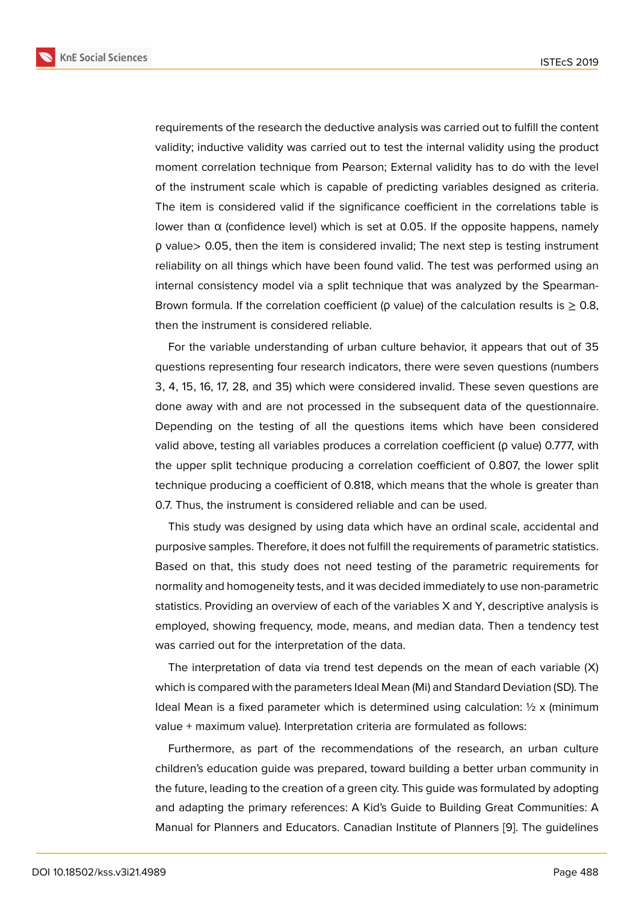requirements of the research the deductive analysis was carried out to fulfill the content validity; inductive validity was carried out to test the internal validity using the product moment correlation technique from Pearson; External validity has to do with the level of the instrument scale which is capable of predicting variables designed as criteria. The item is considered valid if the significance coefficient in the correlations table is lower than α (confidence level) which is set at 0.05. If the opposite happens, namely ρ value> 0.05, then the item is considered invalid; The next step is testing instrument reliability on all things which have been found valid. The test was performed using an internal consistency model via a split technique that was analyzed by the Spearman-Brown formula. If the correlation coefficient ( $\rho$  value) of the calculation results is  $\geq 0.8$ , then the instrument is considered reliable.

For the variable understanding of urban culture behavior, it appears that out of 35 questions representing four research indicators, there were seven questions (numbers 3, 4, 15, 16, 17, 28, and 35) which were considered invalid. These seven questions are done away with and are not processed in the subsequent data of the questionnaire. Depending on the testing of all the questions items which have been considered valid above, testing all variables produces a correlation coefficient (ρ value) 0.777, with the upper split technique producing a correlation coefficient of 0.807, the lower split technique producing a coefficient of 0.818, which means that the whole is greater than 0.7. Thus, the instrument is considered reliable and can be used.

This study was designed by using data which have an ordinal scale, accidental and purposive samples. Therefore, it does not fulfill the requirements of parametric statistics. Based on that, this study does not need testing of the parametric requirements for normality and homogeneity tests, and it was decided immediately to use non-parametric statistics. Providing an overview of each of the variables X and Y, descriptive analysis is employed, showing frequency, mode, means, and median data. Then a tendency test was carried out for the interpretation of the data.

The interpretation of data via trend test depends on the mean of each variable (X) which is compared with the parameters Ideal Mean (Mi) and Standard Deviation (SD). The Ideal Mean is a fixed parameter which is determined using calculation:  $\frac{1}{2} \times \text{minimum}$ value + maximum value). Interpretation criteria are formulated as follows:

Furthermore, as part of the recommendations of the research, an urban culture children's education guide was prepared, toward building a better urban community in the future, leading to the creation of a green city. This guide was formulated by adopting and adapting the primary references: A Kid's Guide to Building Great Communities: A Manual for Planners and Educators. Canadian Institute of Planners [9]. The guidelines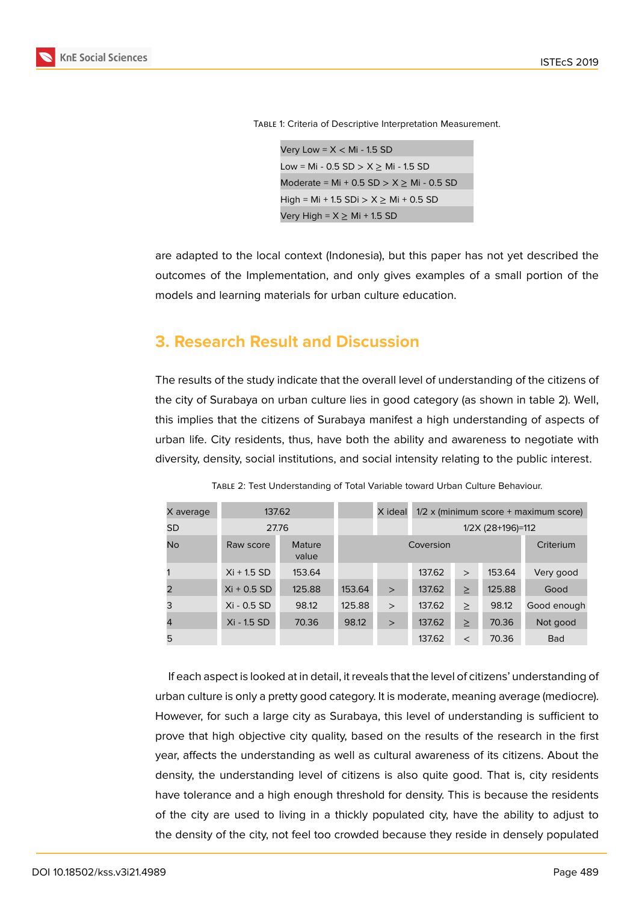

Table 1: Criteria of Descriptive Interpretation Measurement.

```
Very Low = X < Mi - 1.5 SD
Low = Mi - 0.5 SD > X \geq Mi - 1.5 SD
Moderate = Mi + 0.5 SD > X \geq Mi - 0.5 SD
High = Mi + 1.5 SDi > X \geq Mi + 0.5 SD
Very High = X \geq Mi + 1.5 SD
```
are adapted to the local context (Indonesia), but this paper has not yet described the outcomes of the Implementation, and only gives examples of a small portion of the models and learning materials for urban culture education.

# **3. Research Result and Discussion**

The results of the study indicate that the overall level of understanding of the citizens of the city of Surabaya on urban culture lies in good category (as shown in table 2). Well, this implies that the citizens of Surabaya manifest a high understanding of aspects of urban life. City residents, thus, have both the ability and awareness to negotiate with diversity, density, social institutions, and social intensity relating to the public interest.

| X average | 137.62        |                 |           | X ideal | $1/2 \times (minimum score + maximum score)$ |              |        |             |
|-----------|---------------|-----------------|-----------|---------|----------------------------------------------|--------------|--------|-------------|
| SD        | 27.76         |                 |           |         | 1/2X (28+196)=112                            |              |        |             |
| No        | Raw score     | Mature<br>value | Coversion |         |                                              | Criterium    |        |             |
|           | $Xi + 1.5$ SD | 153.64          |           |         | 137.62                                       | $\mathbf{L}$ | 153.64 | Very good   |
|           | $Xi + 0.5 SD$ | 125.88          | 153.64    | $\geq$  | 137.62                                       | $\geq$       | 125.88 | Good        |
| 3         | Xi - 0.5 SD   | 98.12           | 125.88    | $\geq$  | 137.62                                       | $\geq$       | 98.12  | Good enough |
| 4         | Xi - 1.5 SD   | 70.36           | 98.12     | $\geq$  | 137.62                                       | $\geq$       | 70.36  | Not good    |
| 5         |               |                 |           |         | 137.62                                       | $\,<\,$      | 70.36  | <b>Bad</b>  |

Table 2: Test Understanding of Total Variable toward Urban Culture Behaviour.

If each aspect is looked at in detail, it reveals that the level of citizens' understanding of urban culture is only a pretty good category. It is moderate, meaning average (mediocre). However, for such a large city as Surabaya, this level of understanding is sufficient to prove that high objective city quality, based on the results of the research in the first year, affects the understanding as well as cultural awareness of its citizens. About the density, the understanding level of citizens is also quite good. That is, city residents have tolerance and a high enough threshold for density. This is because the residents of the city are used to living in a thickly populated city, have the ability to adjust to the density of the city, not feel too crowded because they reside in densely populated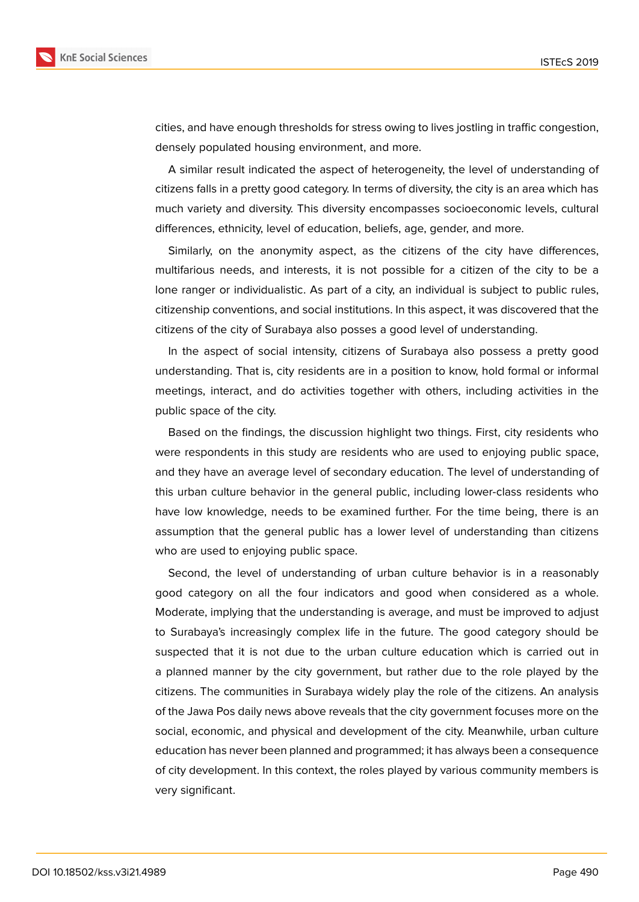

cities, and have enough thresholds for stress owing to lives jostling in traffic congestion, densely populated housing environment, and more.

A similar result indicated the aspect of heterogeneity, the level of understanding of citizens falls in a pretty good category. In terms of diversity, the city is an area which has much variety and diversity. This diversity encompasses socioeconomic levels, cultural differences, ethnicity, level of education, beliefs, age, gender, and more.

Similarly, on the anonymity aspect, as the citizens of the city have differences, multifarious needs, and interests, it is not possible for a citizen of the city to be a lone ranger or individualistic. As part of a city, an individual is subject to public rules, citizenship conventions, and social institutions. In this aspect, it was discovered that the citizens of the city of Surabaya also posses a good level of understanding.

In the aspect of social intensity, citizens of Surabaya also possess a pretty good understanding. That is, city residents are in a position to know, hold formal or informal meetings, interact, and do activities together with others, including activities in the public space of the city.

Based on the findings, the discussion highlight two things. First, city residents who were respondents in this study are residents who are used to enjoying public space, and they have an average level of secondary education. The level of understanding of this urban culture behavior in the general public, including lower-class residents who have low knowledge, needs to be examined further. For the time being, there is an assumption that the general public has a lower level of understanding than citizens who are used to enjoying public space.

Second, the level of understanding of urban culture behavior is in a reasonably good category on all the four indicators and good when considered as a whole. Moderate, implying that the understanding is average, and must be improved to adjust to Surabaya's increasingly complex life in the future. The good category should be suspected that it is not due to the urban culture education which is carried out in a planned manner by the city government, but rather due to the role played by the citizens. The communities in Surabaya widely play the role of the citizens. An analysis of the Jawa Pos daily news above reveals that the city government focuses more on the social, economic, and physical and development of the city. Meanwhile, urban culture education has never been planned and programmed; it has always been a consequence of city development. In this context, the roles played by various community members is very significant.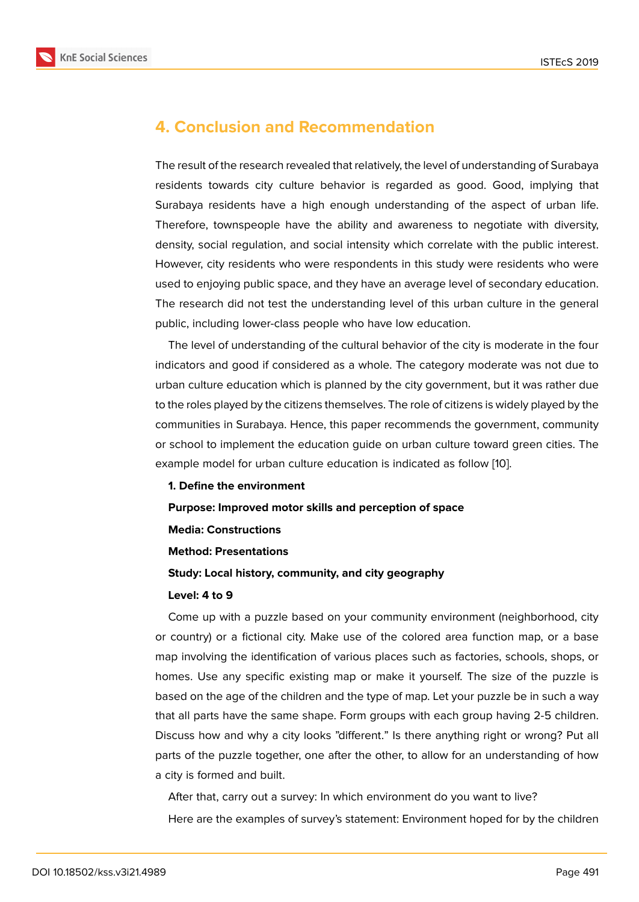# **4. Conclusion and Recommendation**

The result of the research revealed that relatively, the level of understanding of Surabaya residents towards city culture behavior is regarded as good. Good, implying that Surabaya residents have a high enough understanding of the aspect of urban life. Therefore, townspeople have the ability and awareness to negotiate with diversity, density, social regulation, and social intensity which correlate with the public interest. However, city residents who were respondents in this study were residents who were used to enjoying public space, and they have an average level of secondary education. The research did not test the understanding level of this urban culture in the general public, including lower-class people who have low education.

The level of understanding of the cultural behavior of the city is moderate in the four indicators and good if considered as a whole. The category moderate was not due to urban culture education which is planned by the city government, but it was rather due to the roles played by the citizens themselves. The role of citizens is widely played by the communities in Surabaya. Hence, this paper recommends the government, community or school to implement the education guide on urban culture toward green cities. The example model for urban culture education is indicated as follow [10].

#### **1. Define the environment**

#### **Purpose: Improved motor skills and perception of space**

**Media: Constructions**

#### **Method: Presentations**

#### **Study: Local history, community, and city geography**

#### **Level: 4 to 9**

Come up with a puzzle based on your community environment (neighborhood, city or country) or a fictional city. Make use of the colored area function map, or a base map involving the identification of various places such as factories, schools, shops, or homes. Use any specific existing map or make it yourself. The size of the puzzle is based on the age of the children and the type of map. Let your puzzle be in such a way that all parts have the same shape. Form groups with each group having 2-5 children. Discuss how and why a city looks "different." Is there anything right or wrong? Put all parts of the puzzle together, one after the other, to allow for an understanding of how a city is formed and built.

After that, carry out a survey: In which environment do you want to live? Here are the examples of survey's statement: Environment hoped for by the children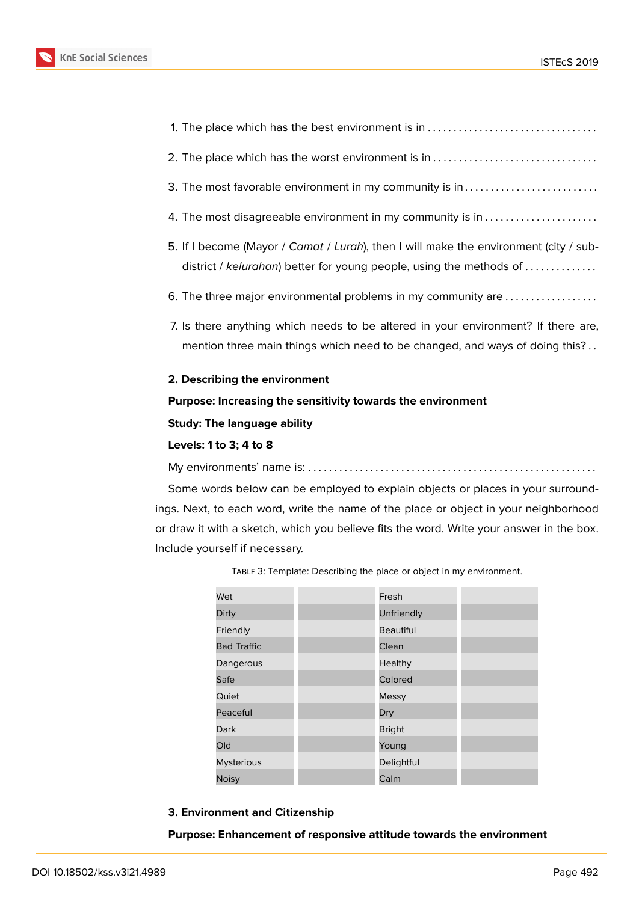



- district / *kelurahan*) better for young people, using the methods of . . . . . . . . . . . . . .
- 6. The three major environmental problems in my community are . . . . . . . . . . . . . . . . . .
- 7. Is there anything which needs to be altered in your environment? If there are, mention three main things which need to be changed, and ways of doing this?..

#### **2. Describing the environment**

#### **Purpose: Increasing the sensitivity towards the environment**

#### **Study: The language ability**

#### **Levels: 1 to 3; 4 to 8**

My environments' name is: . . . . . . . . . . . . . . . . . . . . . . . . . . . . . . . . . . . . . . . . . . . . . . . . . . . . . . . .

Some words below can be employed to explain objects or places in your surroundings. Next, to each word, write the name of the place or object in your neighborhood or draw it with a sketch, which you believe fits the word. Write your answer in the box. Include yourself if necessary.

Table 3: Template: Describing the place or object in my environment.

| Wet                | Fresh            |  |
|--------------------|------------------|--|
| Dirty              | Unfriendly       |  |
| Friendly           | <b>Beautiful</b> |  |
| <b>Bad Traffic</b> | Clean            |  |
| Dangerous          | Healthy          |  |
| Safe               | Colored          |  |
| Quiet              | <b>Messy</b>     |  |
| Peaceful           | Dry              |  |
| Dark               | <b>Bright</b>    |  |
| Old                | Young            |  |
| <b>Mysterious</b>  | Delightful       |  |
| <b>Noisy</b>       | Calm             |  |

#### **3. Environment and Citizenship**

#### **Purpose: Enhancement of responsive attitude towards the environment**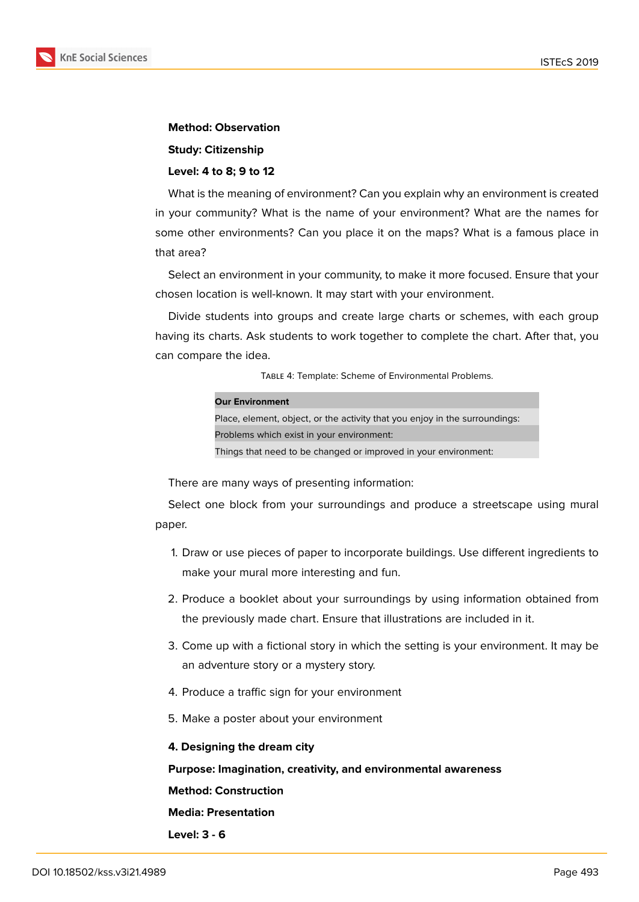

#### **Method: Observation**

#### **Study: Citizenship**

#### **Level: 4 to 8; 9 to 12**

What is the meaning of environment? Can you explain why an environment is created in your community? What is the name of your environment? What are the names for some other environments? Can you place it on the maps? What is a famous place in that area?

Select an environment in your community, to make it more focused. Ensure that your chosen location is well-known. It may start with your environment.

Divide students into groups and create large charts or schemes, with each group having its charts. Ask students to work together to complete the chart. After that, you can compare the idea.

Table 4: Template: Scheme of Environmental Problems.

| <b>Our Environment</b>                                                      |  |  |  |  |
|-----------------------------------------------------------------------------|--|--|--|--|
| Place, element, object, or the activity that you enjoy in the surroundings: |  |  |  |  |
| Problems which exist in your environment:                                   |  |  |  |  |
| Things that need to be changed or improved in your environment:             |  |  |  |  |

There are many ways of presenting information:

Select one block from your surroundings and produce a streetscape using mural paper.

- 1. Draw or use pieces of paper to incorporate buildings. Use different ingredients to make your mural more interesting and fun.
- 2. Produce a booklet about your surroundings by using information obtained from the previously made chart. Ensure that illustrations are included in it.
- 3. Come up with a fictional story in which the setting is your environment. It may be an adventure story or a mystery story.
- 4. Produce a traffic sign for your environment
- 5. Make a poster about your environment

#### **4. Designing the dream city**

#### **Purpose: Imagination, creativity, and environmental awareness**

**Method: Construction**

#### **Media: Presentation**

**Level: 3 - 6**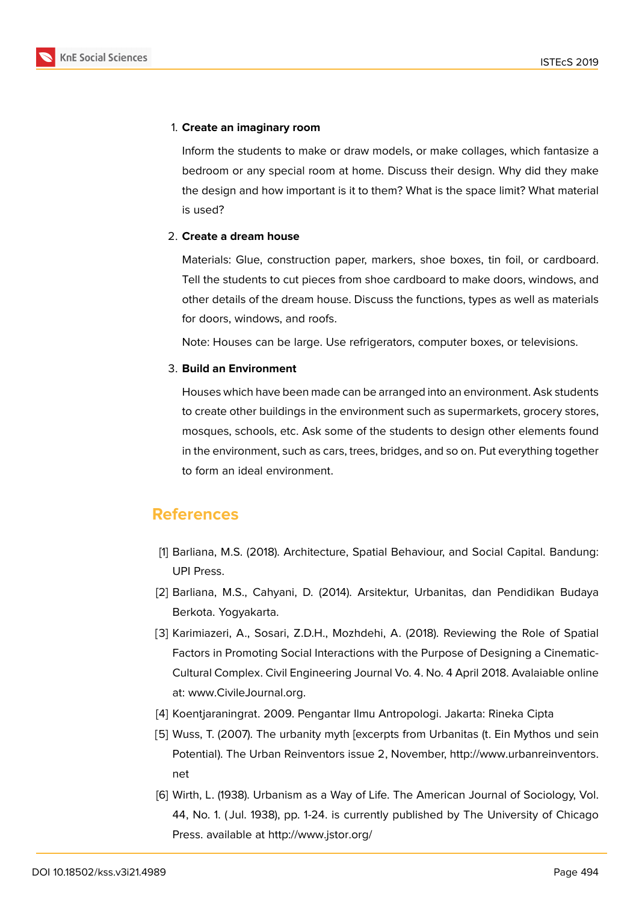#### 1. **Create an imaginary room**

Inform the students to make or draw models, or make collages, which fantasize a bedroom or any special room at home. Discuss their design. Why did they make the design and how important is it to them? What is the space limit? What material is used?

#### 2. **Create a dream house**

Materials: Glue, construction paper, markers, shoe boxes, tin foil, or cardboard. Tell the students to cut pieces from shoe cardboard to make doors, windows, and other details of the dream house. Discuss the functions, types as well as materials for doors, windows, and roofs.

Note: Houses can be large. Use refrigerators, computer boxes, or televisions.

#### 3. **Build an Environment**

Houses which have been made can be arranged into an environment. Ask students to create other buildings in the environment such as supermarkets, grocery stores, mosques, schools, etc. Ask some of the students to design other elements found in the environment, such as cars, trees, bridges, and so on. Put everything together to form an ideal environment.

### **References**

- [1] Barliana, M.S. (2018). Architecture, Spatial Behaviour, and Social Capital. Bandung: UPI Press.
- <span id="page-9-0"></span>[2] Barliana, M.S., Cahyani, D. (2014). Arsitektur, Urbanitas, dan Pendidikan Budaya Berkota. Yogyakarta.
- <span id="page-9-1"></span>[3] Karimiazeri, A., Sosari, Z.D.H., Mozhdehi, A. (2018). Reviewing the Role of Spatial Factors in Promoting Social Interactions with the Purpose of Designing a Cinematic-Cultural Complex. Civil Engineering Journal Vo. 4. No. 4 April 2018. Avalaiable online at: www.CivileJournal.org.
- <span id="page-9-2"></span>[4] Koentjaraningrat. 2009. Pengantar Ilmu Antropologi. Jakarta: Rineka Cipta
- <span id="page-9-3"></span>[5] Wuss, T. (2007). The urbanity myth [excerpts from Urbanitas (t. Ein Mythos und sein Po[tential\). The Urban Rein](www.CivileJournal.org.)ventors issue 2, November, http://www.urbanreinventors. net
- <span id="page-9-5"></span><span id="page-9-4"></span>[6] Wirth, L. (1938). Urbanism as a Way of Life. The American Journal of Sociology, Vol. 44, No. 1. ( Jul. 1938), pp. 1-24. is currently published [by The University of Chicago](http://www.urbanreinventors.net) [Pre](http://www.urbanreinventors.net)ss. available at http://www.jstor.org/